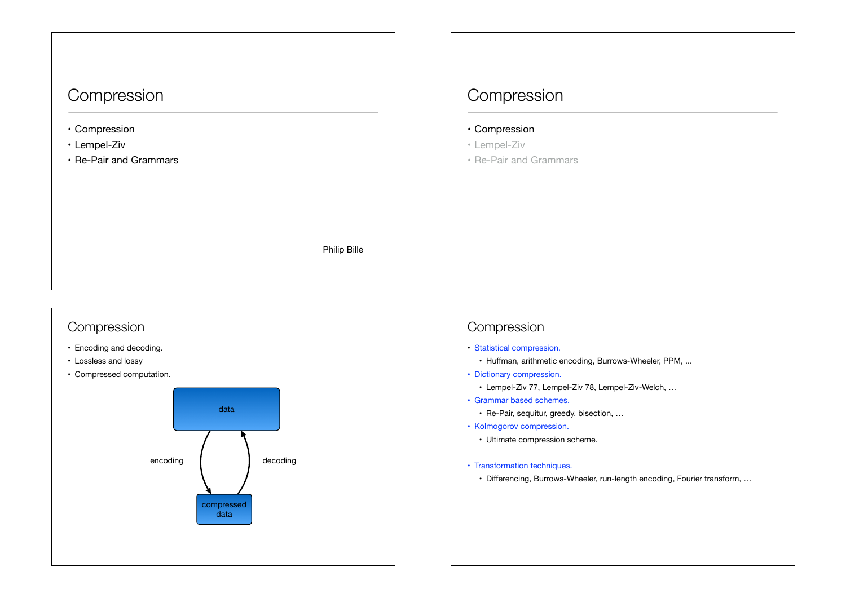## Compression

- Compression
- Lempel-Ziv
- Re-Pair and Grammars

Philip Bille

#### Compression

- Encoding and decoding.
- Lossless and lossy
- Compressed computation.



## Compression

- Compression
- Lempel-Ziv
- Re-Pair and Grammars

#### Compression

- Statistical compression.
	- Huffman, arithmetic encoding, Burrows-Wheeler, PPM, ...
- Dictionary compression.
	- Lempel-Ziv 77, Lempel-Ziv 78, Lempel-Ziv-Welch, …
- Grammar based schemes.
	- Re-Pair, sequitur, greedy, bisection, …
- Kolmogorov compression.
	- Ultimate compression scheme.
- Transformation techniques.
	- Differencing, Burrows-Wheeler, run-length encoding, Fourier transform, …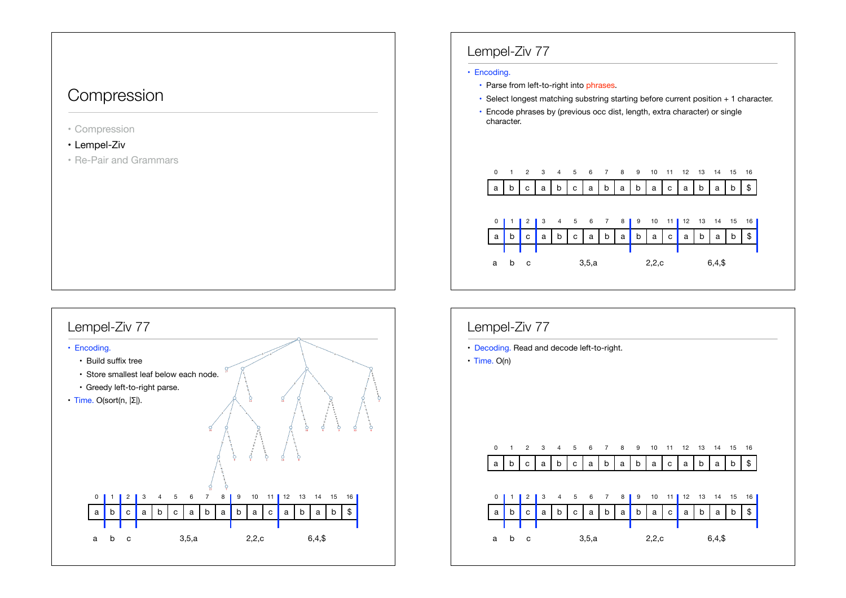## Compression

- Compression
- Lempel-Ziv
- Re-Pair and Grammars



### Lempel-Ziv 77

#### • Encoding.

- Parse from left-to-right into phrases.
- Select longest matching substring starting before current position + 1 character.
- Encode phrases by (previous occ dist, length, extra character) or single character.



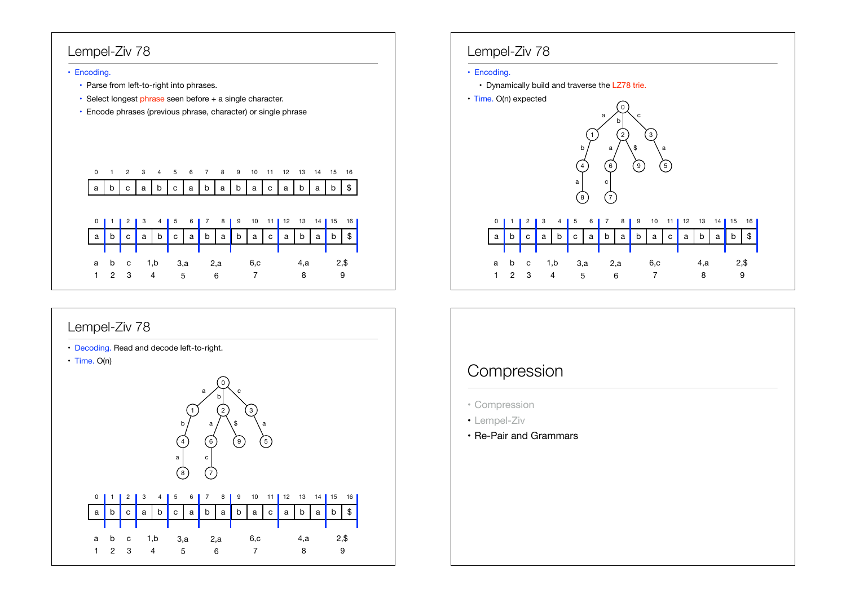### Lempel-Ziv 78

#### • Encoding.

- Parse from left-to-right into phrases.
- Select longest phrase seen before + a single character.
- Encode phrases (previous phrase, character) or single phrase



### Lempel-Ziv 78

- Decoding. Read and decode left-to-right.
- Time. O(n)



|             |              |                |     |  |         |  |     |  |    | 0 1 2 3 4 5 6 7 8 9 10 11 12 13 14 15 16 |     |  |  |  |
|-------------|--------------|----------------|-----|--|---------|--|-----|--|----|------------------------------------------|-----|--|--|--|
|             |              |                |     |  |         |  |     |  |    |                                          |     |  |  |  |
|             |              |                |     |  |         |  |     |  |    | a b c a b c a b a b a c a b a b \$       |     |  |  |  |
|             |              | a b c 1.b      |     |  | 3.a 2.a |  | 6.c |  | .a |                                          | 2.S |  |  |  |
| $1 \quad 2$ | $\mathbf{3}$ | $\overline{4}$ | - 5 |  |         |  |     |  |    |                                          |     |  |  |  |

### Lempel-Ziv 78

#### • Encoding.

- Dynamically build and traverse the LZ78 trie.
- Time. O(n) expected



# Compression

- Compression
- Lempel-Ziv
- Re-Pair and Grammars